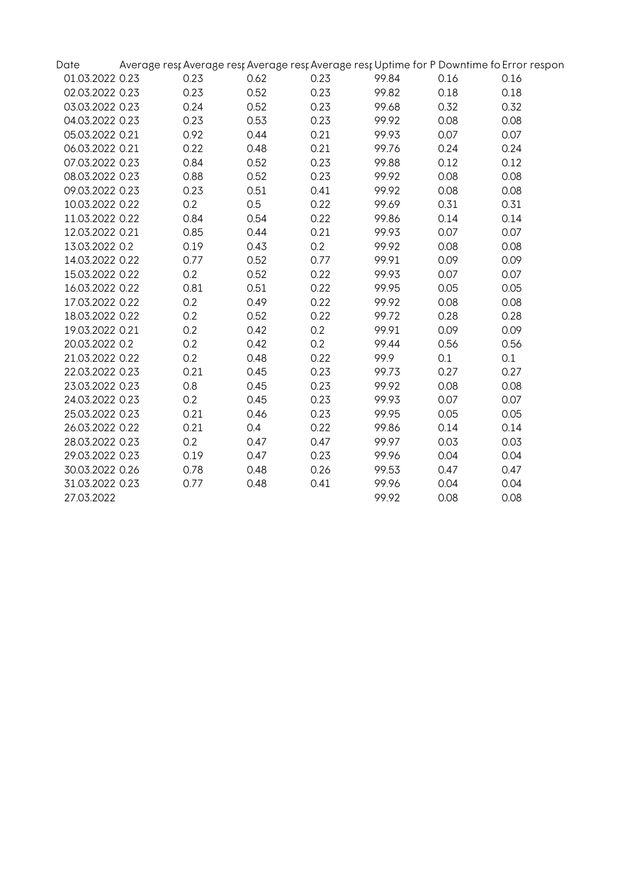| Date            |      |      |      |       |      | Average rest Average rest Average rest Average rest Uptime for P Downtime fo Error respon |
|-----------------|------|------|------|-------|------|-------------------------------------------------------------------------------------------|
| 01.03.2022 0.23 | 0.23 | 0.62 | 0.23 | 99.84 | 0.16 | 0.16                                                                                      |
| 02.03.2022 0.23 | 0.23 | 0.52 | 0.23 | 99.82 | 0.18 | 0.18                                                                                      |
| 03.03.2022 0.23 | 0.24 | 0.52 | 0.23 | 99.68 | 0.32 | 0.32                                                                                      |
| 04.03.2022 0.23 | 0.23 | 0.53 | 0.23 | 99.92 | 0.08 | 0.08                                                                                      |
| 05.03.2022 0.21 | 0.92 | 0.44 | 0.21 | 99.93 | 0.07 | 0.07                                                                                      |
| 06.03.2022 0.21 | 0.22 | 0.48 | 0.21 | 99.76 | 0.24 | 0.24                                                                                      |
| 07.03.2022 0.23 | 0.84 | 0.52 | 0.23 | 99.88 | 0.12 | 0.12                                                                                      |
| 08.03.2022 0.23 | 0.88 | 0.52 | 0.23 | 99.92 | 0.08 | 0.08                                                                                      |
| 09.03.2022 0.23 | 0.23 | 0.51 | 0.41 | 99.92 | 0.08 | 0.08                                                                                      |
| 10.03.2022 0.22 | 0.2  | 0.5  | 0.22 | 99.69 | 0.31 | 0.31                                                                                      |
| 11.03.2022 0.22 | 0.84 | 0.54 | 0.22 | 99.86 | 0.14 | 0.14                                                                                      |
| 12.03.2022 0.21 | 0.85 | 0.44 | 0.21 | 99.93 | 0.07 | 0.07                                                                                      |
| 13.03.2022 0.2  | 0.19 | 0.43 | 0.2  | 99.92 | 0.08 | 0.08                                                                                      |
| 14.03.2022 0.22 | 0.77 | 0.52 | 0.77 | 99.91 | 0.09 | 0.09                                                                                      |
| 15.03.2022 0.22 | 0.2  | 0.52 | 0.22 | 99.93 | 0.07 | 0.07                                                                                      |
| 16.03.2022 0.22 | 0.81 | 0.51 | 0.22 | 99.95 | 0.05 | 0.05                                                                                      |
| 17.03.2022 0.22 | 0.2  | 0.49 | 0.22 | 99.92 | 0.08 | 0.08                                                                                      |
| 18.03.2022 0.22 | 0.2  | 0.52 | 0.22 | 99.72 | 0.28 | 0.28                                                                                      |
| 19.03.2022 0.21 | 0.2  | 0.42 | 0.2  | 99.91 | 0.09 | 0.09                                                                                      |
| 20.03.2022 0.2  | 0.2  | 0.42 | 0.2  | 99.44 | 0.56 | 0.56                                                                                      |
| 21.03.2022 0.22 | 0.2  | 0.48 | 0.22 | 99.9  | 0.1  | 0.1                                                                                       |
| 22.03.2022 0.23 | 0.21 | 0.45 | 0.23 | 99.73 | 0.27 | 0.27                                                                                      |
| 23.03.2022 0.23 | 0.8  | 0.45 | 0.23 | 99.92 | 0.08 | 0.08                                                                                      |
| 24.03.2022 0.23 | 0.2  | 0.45 | 0.23 | 99.93 | 0.07 | 0.07                                                                                      |
| 25.03.2022 0.23 | 0.21 | 0.46 | 0.23 | 99.95 | 0.05 | 0.05                                                                                      |
| 26.03.2022 0.22 | 0.21 | 0.4  | 0.22 | 99.86 | 0.14 | 0.14                                                                                      |
| 28.03.2022 0.23 | 0.2  | 0.47 | 0.47 | 99.97 | 0.03 | 0.03                                                                                      |
| 29.03.2022 0.23 | 0.19 | 0.47 | 0.23 | 99.96 | 0.04 | 0.04                                                                                      |
| 30.03.2022 0.26 | 0.78 | 0.48 | 0.26 | 99.53 | 0.47 | 0.47                                                                                      |
| 31.03.2022 0.23 | 0.77 | 0.48 | 0.41 | 99.96 | 0.04 | 0.04                                                                                      |
| 27.03.2022      |      |      |      | 99.92 | 0.08 | 0.08                                                                                      |